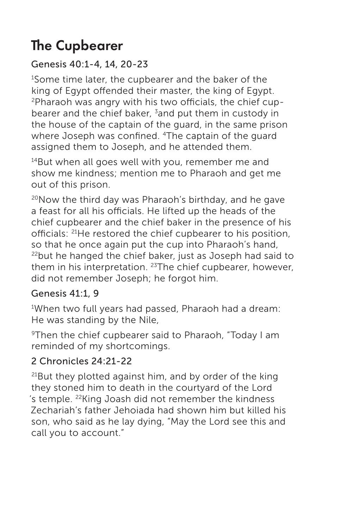# The Cupbearer

# Genesis 40:1-4, 14, 20-23

1 Some time later, the cupbearer and the baker of the king of Egypt offended their master, the king of Egypt. 2Pharaoh was angry with his two officials, the chief cupbearer and the chief baker, 3 and put them in custody in the house of the captain of the guard, in the same prison where Joseph was confined. <sup>4</sup>The captain of the quard assigned them to Joseph, and he attended them.

<sup>14</sup>But when all goes well with you, remember me and show me kindness; mention me to Pharaoh and get me out of this prison.

 $20$ Now the third day was Pharaoh's birthday, and he gave a feast for all his officials. He lifted up the heads of the chief cupbearer and the chief baker in the presence of his officials: 21He restored the chief cupbearer to his position, so that he once again put the cup into Pharaoh's hand, <sup>22</sup>but he hanged the chief baker, just as Joseph had said to them in his interpretation.  $23$ The chief cupbearer, however, did not remember Joseph; he forgot him.

### Genesis 41:1, 9

1 When two full years had passed, Pharaoh had a dream: He was standing by the Nile,

9Then the chief cupbearer said to Pharaoh, "Today I am reminded of my shortcomings.

# 2 Chronicles 24:21-22

 $21$ But they plotted against him, and by order of the king they stoned him to death in the courtyard of the Lord 's temple. 22King Joash did not remember the kindness Zechariah's father Jehoiada had shown him but killed his son, who said as he lay dying, "May the Lord see this and call you to account."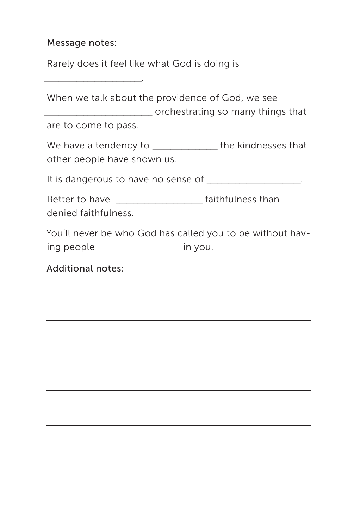#### Message notes:

\_\_\_\_\_\_\_\_\_\_\_\_\_\_\_\_\_\_\_\_\_\_\_\_\_\_\_.

Rarely does it feel like what God is doing is

Additional notes: When we talk about the providence of God, we see \_\_\_\_\_\_\_\_\_\_\_\_\_\_\_\_\_\_\_\_\_\_\_\_\_\_\_\_\_\_ orchestrating so many things that are to come to pass. We have a tendency to be the kindnesses that other people have shown us. It is dangerous to have no sense of  $\blacksquare$ Better to have \_\_\_\_\_\_\_\_\_\_\_\_\_\_\_\_\_\_\_\_\_\_\_\_ faithfulness than denied faithfulness. You'll never be who God has called you to be without having people \_\_\_\_\_\_\_\_\_\_\_\_\_\_\_\_\_\_\_\_\_\_\_ in you.